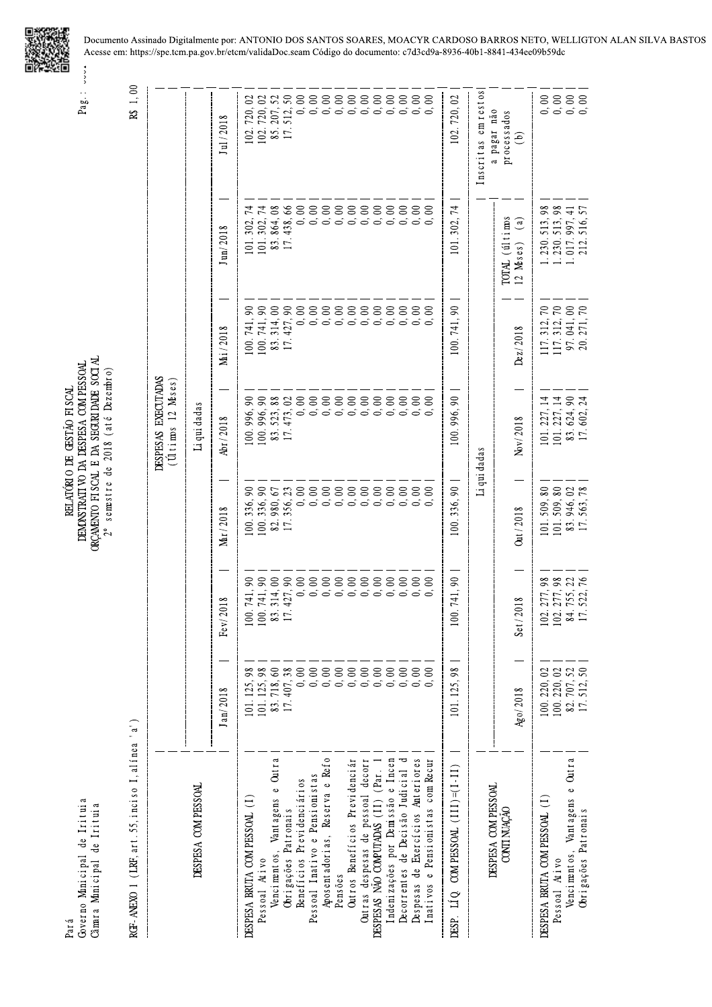

Pag.: vvv.

| Governo Minicipal de Irituia<br>Câmara Municipal de Irituia<br>Pará    |                          |                                     | $2^{\circ}$               | ORCAMENTO FISCAL E DA SEGURI DADE SOCIAL<br>DEMONSTRATI VO DA DESPESA COM PESSOAL<br>semestre de 2018 (até Dezembro)<br>RELATÓRIO DE GESTÃO FISCAL                                                                                                                                                                    |                            |                                                 | $\frac{1}{2}$<br>$Pag$ :                     |
|------------------------------------------------------------------------|--------------------------|-------------------------------------|---------------------------|-----------------------------------------------------------------------------------------------------------------------------------------------------------------------------------------------------------------------------------------------------------------------------------------------------------------------|----------------------------|-------------------------------------------------|----------------------------------------------|
| RCF-ANEXO 1 (LRF, art. 55, inciso I, alínea 'a')                       |                          |                                     |                           |                                                                                                                                                                                                                                                                                                                       |                            |                                                 | R\$ 1,00                                     |
|                                                                        |                          |                                     |                           | <b>JESPESAS EXECUTADAS</b><br>$($ Ultimos 12 Meses $)$                                                                                                                                                                                                                                                                |                            |                                                 |                                              |
| DESPESA COM PESSOAL                                                    |                          |                                     |                           | Li qui dadas                                                                                                                                                                                                                                                                                                          |                            |                                                 |                                              |
|                                                                        | Jan/2018                 | Fe v/2018                           | Mar/2018                  | Abr/2018                                                                                                                                                                                                                                                                                                              | Mai/2018                   | $J \text{ un} / 2018$                           | Jul / 2018                                   |
| DESPESA BRUTA COMPESSOAL (I)                                           | 101.125,98               | 741,90<br>100.                      | 100.336,90                | $\mathfrak{g}$<br>.00.996,                                                                                                                                                                                                                                                                                            | 100.741,90                 | 101.302,                                        |                                              |
| Pessoal Ativo                                                          | 101.125,98               | 741,90<br>100.                      | 100.336,90                | 100.996,90                                                                                                                                                                                                                                                                                                            | 100.741,90                 | 101.302,74                                      |                                              |
| Vencimentos, Vantagens e Outra                                         | 83.718,60<br>17.407,38   | 314,00<br>$\frac{83}{17}$           | $82.980, 67$<br>17.356,23 | 83.523,88<br>17.473,02                                                                                                                                                                                                                                                                                                | 83.314,00<br>17.427,90     | 83.864,08<br>17.438,66                          |                                              |
| Obrigações Patronais                                                   |                          | 427,90                              |                           |                                                                                                                                                                                                                                                                                                                       |                            | 438,66                                          |                                              |
| Benefícios Previdenciários                                             | $0,00$                   |                                     |                           |                                                                                                                                                                                                                                                                                                                       |                            |                                                 |                                              |
| Pessoal Inativo e Pensionistas                                         | 0,00                     |                                     |                           |                                                                                                                                                                                                                                                                                                                       |                            |                                                 |                                              |
| Aposentadorias, Reserva e Refo                                         | $0,00$                   |                                     |                           |                                                                                                                                                                                                                                                                                                                       |                            |                                                 |                                              |
| Pensões                                                                | $0, 00$<br>$0, 00$       |                                     |                           |                                                                                                                                                                                                                                                                                                                       |                            |                                                 |                                              |
| Outros Benefícios Previdenciár                                         |                          |                                     |                           |                                                                                                                                                                                                                                                                                                                       |                            |                                                 |                                              |
| Outras despesas de pessoal decorr                                      | $0, 00$                  |                                     |                           |                                                                                                                                                                                                                                                                                                                       |                            |                                                 |                                              |
| DESPESAS NÃO COMPUTADAS (11) (Par. 1                                   |                          |                                     |                           |                                                                                                                                                                                                                                                                                                                       |                            |                                                 |                                              |
| Indenizações por Demissão e Incen                                      |                          |                                     |                           |                                                                                                                                                                                                                                                                                                                       |                            |                                                 |                                              |
| Decorrentes de Decisão Judicial d                                      |                          |                                     |                           |                                                                                                                                                                                                                                                                                                                       |                            |                                                 |                                              |
| Despesas de Exercícios Anteriores<br>Inativos e Pensionistas com Recur | $888888$<br>$0.6000$     |                                     |                           | $\begin{array}{l} 0 & 0 & 0 & 0 & 0 & 0 & 0 & 0 & 0 & 0 \\ 0 & 0 & 0 & 0 & 0 & 0 & 0 & 0 & 0 & 0 \\ 0 & 0 & 0 & 0 & 0 & 0 & 0 & 0 & 0 & 0 \\ 0 & 0 & 0 & 0 & 0 & 0 & 0 & 0 & 0 \\ 0 & 0 & 0 & 0 & 0 & 0 & 0 & 0 & 0 \\ 0 & 0 & 0 & 0 & 0 & 0 & 0 & 0 & 0 \\ 0 & 0 & 0 & 0 & 0 & 0 & 0 & 0 & 0 \\ 0 & 0 & 0 & 0 & 0 &$ |                            |                                                 |                                              |
| $COM PESSOAL$ (111)=(1-11)<br>$\overline{\mathbf{u}}$<br>DESP.         | 101.125,98               | 741,90<br>100.                      | 100.336,90                | 100.996.90                                                                                                                                                                                                                                                                                                            | 100.741,90                 | 101.302,74                                      | 102.720,02                                   |
| DESPESA COM PESSOAL                                                    |                          |                                     | Li qui dadas              |                                                                                                                                                                                                                                                                                                                       |                            |                                                 | Inscritas em restos                          |
| CONTI NUAÇÃO                                                           | $\text{Ago}/\text{2018}$ | Set / 2018                          | Out / 2018                | Nov/2018                                                                                                                                                                                                                                                                                                              | Dz/2018                    | TOTAL (últimos<br>$\binom{a}{b}$<br>$12$ Meses) | a pagar não<br>processados<br>$\overline{e}$ |
| DESPESA BRUTA COM PESSOAL (I)                                          | 100.220,02               | 277,98<br>102.                      | 101.509,80                | 101.227, 14                                                                                                                                                                                                                                                                                                           | $\sqrt{2}$<br>117.312,     | 513,98<br>1.230.                                |                                              |
| Pessoal Ativo                                                          | 100.220,02               | 277,98<br>102.                      | 101.509,80                | 101.227, 14                                                                                                                                                                                                                                                                                                           | 117.312,70                 | 1, 230, 513, 98                                 | 8888                                         |
| Vencimentos, Vantagens e Outra                                         | 82.707,52<br>17.512,50   | 755, 22<br>522, 76<br>84.<br>$\Box$ | 83.946,02<br>$\Box$       | 83.624,90<br>17.602,24                                                                                                                                                                                                                                                                                                | $97.041,00$<br>$20.271,70$ | 017.997, 41<br>516,57<br>212.                   |                                              |
| Obrigações Patronais                                                   |                          |                                     | 563,78                    |                                                                                                                                                                                                                                                                                                                       |                            |                                                 |                                              |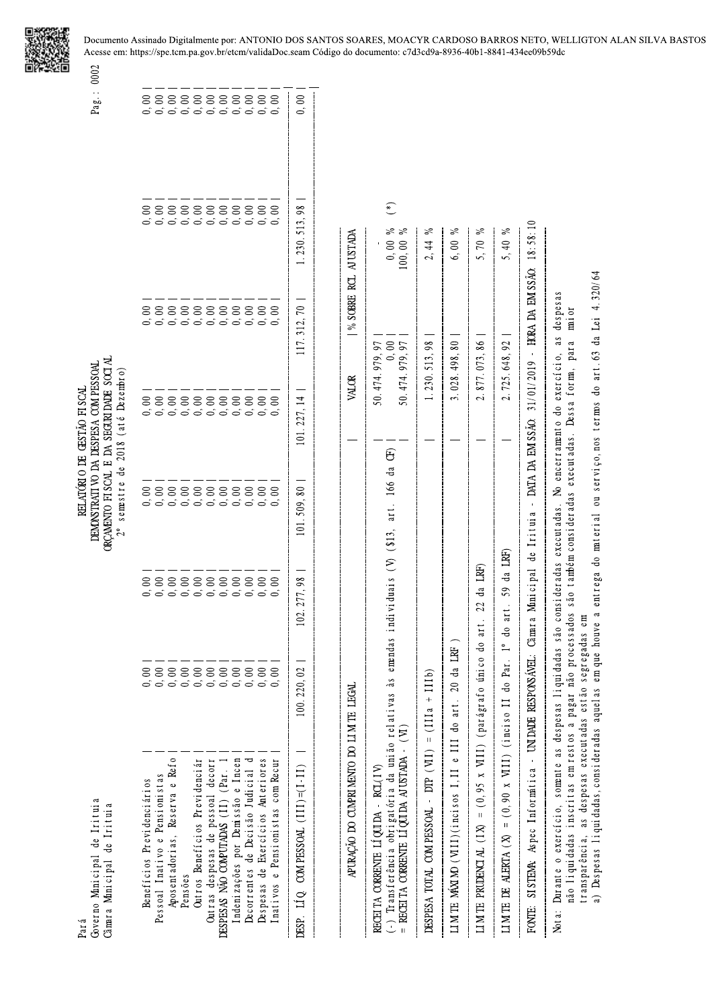

 $0,00$ 

Pag.: 0002 DEMONSTRATIVO DA DESPESA COM PESSOAL<br>ORÇAMENTO FISCAL E DA SEGURIDADE SOCIAL<br>2º semestre de 2018 (até Dezembro) RELATÓRIO DE GESTÃO FISCAL

| Benefícios Previdenciários                                                                                                                                                                                 | 0,00                                                      |                                        | 88888888888<br>6 6 6 6 6 6 6 6 6 6 6 |                    |                                  |                                         |                                                                                   |  |
|------------------------------------------------------------------------------------------------------------------------------------------------------------------------------------------------------------|-----------------------------------------------------------|----------------------------------------|--------------------------------------|--------------------|----------------------------------|-----------------------------------------|-----------------------------------------------------------------------------------|--|
| Pessoal Inativo e Pensionistas                                                                                                                                                                             | 0,00                                                      |                                        |                                      |                    |                                  |                                         |                                                                                   |  |
| Aposentadorias, Reserva e Refo                                                                                                                                                                             | $0, 00$                                                   |                                        |                                      |                    |                                  |                                         |                                                                                   |  |
| Pensões                                                                                                                                                                                                    | 0,00                                                      |                                        |                                      |                    |                                  |                                         |                                                                                   |  |
| Outros Benefícios Previdenciár                                                                                                                                                                             |                                                           |                                        |                                      |                    |                                  |                                         |                                                                                   |  |
| Outras despesas de pessoal decorr                                                                                                                                                                          |                                                           |                                        |                                      |                    |                                  |                                         |                                                                                   |  |
| DESPESAS NÃO COMPUTADAS (11) (Par.                                                                                                                                                                         | $\begin{array}{c} 0.0000 \\ 0.0000 \\ \hline \end{array}$ |                                        |                                      |                    |                                  |                                         |                                                                                   |  |
| Indenizações por Demissão e Incen                                                                                                                                                                          | $0, 00$                                                   |                                        |                                      |                    |                                  |                                         |                                                                                   |  |
| Decorrentes de Decisão Judicial d                                                                                                                                                                          | $0,00$<br>$0,00$                                          |                                        |                                      |                    |                                  |                                         |                                                                                   |  |
| Despesas de Exercícios Anteriores                                                                                                                                                                          |                                                           |                                        |                                      |                    |                                  |                                         |                                                                                   |  |
| Inativos e Pensionistas com Recur                                                                                                                                                                          | 0, 00                                                     |                                        |                                      |                    |                                  |                                         |                                                                                   |  |
| DESP. LÍQ COM PESSOAL (III)= $(1-11)$                                                                                                                                                                      | 100.220,02                                                | 102.277,98                             | 101.509,80                           | 101.227.14         |                                  | 117.312,70                              | 1.230.513,98                                                                      |  |
|                                                                                                                                                                                                            |                                                           |                                        |                                      |                    |                                  |                                         |                                                                                   |  |
| APURAÇÃO DO CUMPRIMENTO DO LIMITE LEGAL                                                                                                                                                                    |                                                           |                                        |                                      |                    | VALOR                            | % SOBRE RCL AJUSTADA                    |                                                                                   |  |
| RECEITA CORRENTE LÍQUIDA - RCL(IV)                                                                                                                                                                         |                                                           |                                        |                                      |                    | 50.474.979,97                    |                                         |                                                                                   |  |
| (-) Transferência obrigatória da união relativas às emendas individuais (V) (\$13, art. 166 da<br>= RECEITA CORRENTE LÍQUIDA AJUSTADA - $(VI)$                                                             |                                                           |                                        |                                      | $\widehat{\Theta}$ | 50.474.979.97                    |                                         | $\widetilde{\mathcal{E}}$<br>న న<br>$\begin{array}{c} 0,00 \\ 100,00 \end{array}$ |  |
| DESPESA TOTAL COMPESSOAL - DTP (VII) = $(111a + 111b)$                                                                                                                                                     |                                                           |                                        |                                      |                    | 1.230.513,98                     |                                         | వి<br>$\frac{4}{4}$<br>$\mathcal{L}$                                              |  |
| LIMTE MAXIMO (VIII)(incisos I, II e III do art. 20 da                                                                                                                                                      | LRF                                                       |                                        |                                      |                    | 3.028.498,80                     |                                         | వి<br>6,00                                                                        |  |
| LIM TE PRUDENCIAL (IX) = $(0, 95 \times \text{WIII})$ (parágrafo único                                                                                                                                     |                                                           | $22$ da LRF<br>do art.                 |                                      |                    | 2.877.073,86                     |                                         | వ్<br>5,70                                                                        |  |
| LIMITE DE ALERTA ( $X$ ) = (0,90 x VIII) (inciso II do Par.                                                                                                                                                | $\frac{1}{1}$                                             | LRF)<br>da<br>59<br>art.<br>$\ddot{a}$ |                                      |                    | 2.725.648,92                     |                                         | వ్<br>5,40                                                                        |  |
| FONTE: SISTEMA: Aspec Informatica - UNIDADE RESPONSÁVEL:                                                                                                                                                   |                                                           | Câmara Municipal de Irituia            | $\blacksquare$                       | DATA DA EM SSÃO    | 31/01/2019                       | HORA DA EM SSÃO:<br>$\bar{\phantom{a}}$ | 18:58:10                                                                          |  |
| não liquidadas inscritas em restos a pagar não processados são também consideradas executadas. Dessa forma, para<br>Nota: Durante o exercício, somente as despesas liquidadas são consideradas executadas. |                                                           |                                        |                                      |                    | No encerramento do exercício, as | despesas<br>mior                        |                                                                                   |  |

a) Despesas liquidadas, consideradas aquelas em que houve a entrega do material ou serviço, nos termos do art. 63 da Lei 4.320/64

transparência, as despesas executadas estão segregadas em

Governo Municipal de Irituia<br>Câmara Municipal de Irituia Par á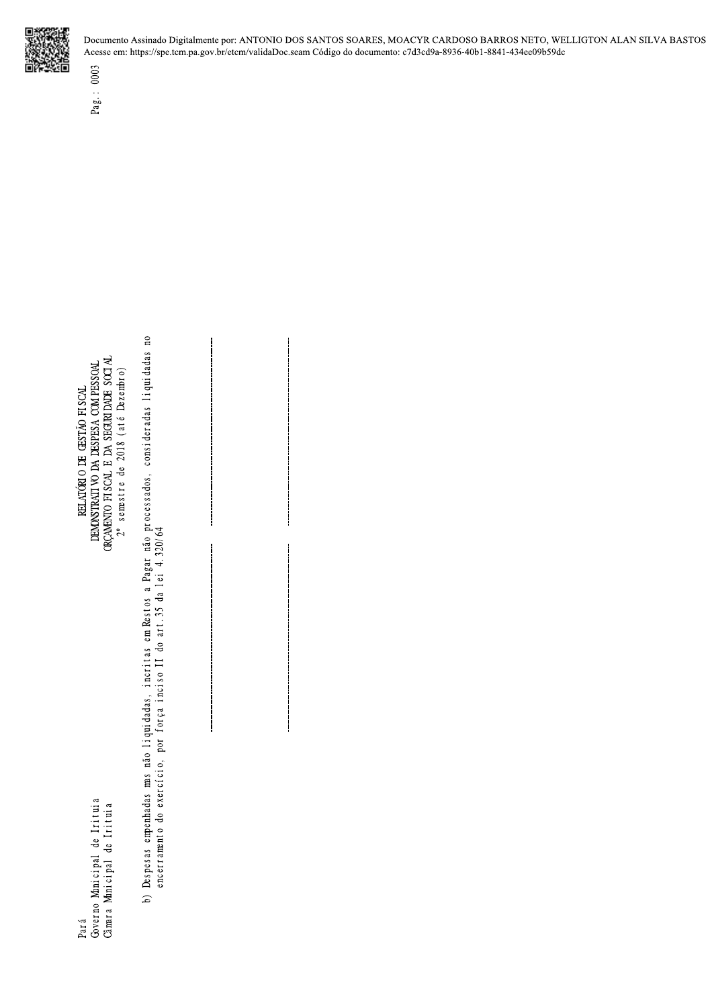

ORÇAMENTO FISCAL E DA SEGURIDADE SOCIAL 2° semstre de 2018 (até Dezembro) DEMONSTRATI VO DA DESPESA COM PESSOAL RELATÓRIO DE GESTÃO FISCAL

Pag.: 0003

b) Despesas empenhadas mas não liquidadas, incritas em Restos a Pagar não processados, consideradas liquidadas no<br>encerramento do exercício, por força inciso II do art.35 da lei 4.320/64

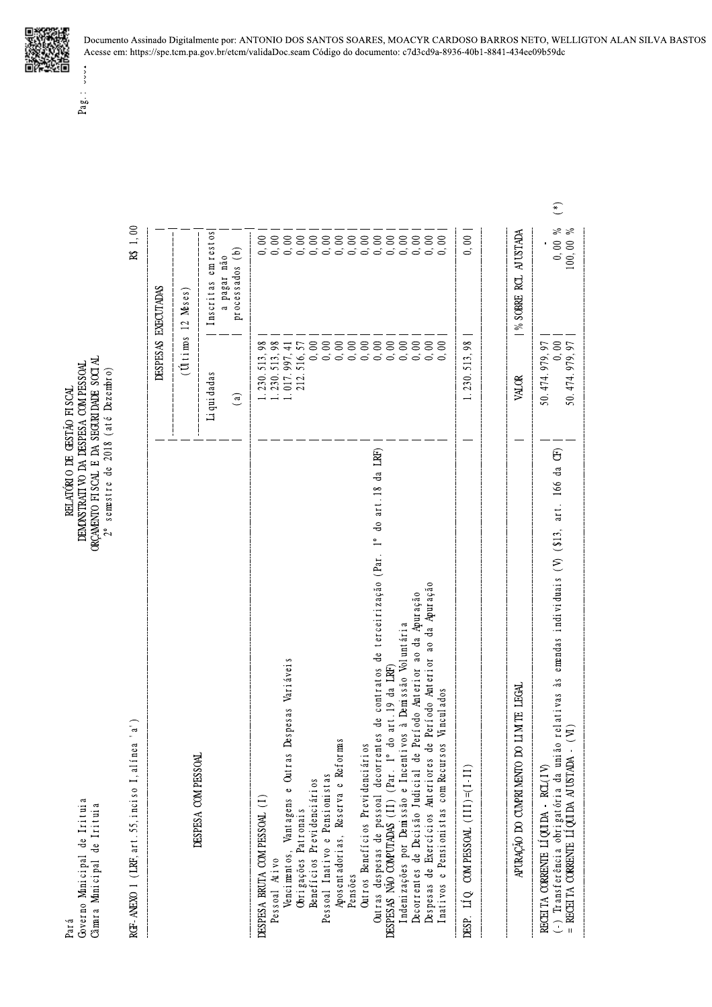Governo Monicipal de Irituia<br>Câmara Monicipal de Irituia Par á

 $\begin{array}{ll} \text{RELAI}(\text{KIO DE GESTÅO FI SCA} \\ \text{DENDISTRATI VO DA DESPESA COM PESSOAL} \\ \text{ORÇABKTO FI SCA. E DA SEGR IDABE SOTA} \end{array}$  $2^{\circ}$  semestre de 2018 (até Dezembro)

| RGF-ANEXO 1 (LRF, art. 55, inciso I, alínea 'a'                                                                                                                                                                            |                                                                                        | $1,\,00$<br>笤                                        |
|----------------------------------------------------------------------------------------------------------------------------------------------------------------------------------------------------------------------------|----------------------------------------------------------------------------------------|------------------------------------------------------|
|                                                                                                                                                                                                                            |                                                                                        | DESPESAS EXECUTADAS                                  |
|                                                                                                                                                                                                                            |                                                                                        | $(\hat{U}$ tims 12 Meses)                            |
| DESPESA COMPESSOAL                                                                                                                                                                                                         | Li qui dadas                                                                           | em restos<br>Inscritas                               |
|                                                                                                                                                                                                                            | $\binom{a}{b}$                                                                         | processados (b)<br>a pagar não                       |
| DESPESA BRUTA COM PESSOAL (1)                                                                                                                                                                                              |                                                                                        |                                                      |
| Despesas Variáveis<br>s<br>Pessoal Ativo                                                                                                                                                                                   | $\begin{array}{c} 1.230.513,98\\ 1.230.513,98\\ 1.017.997,41\\ 212.516,57 \end{array}$ |                                                      |
| Vencimentos, Vantagens e Outra<br>Obrigações Patronais<br>Benefícios Previdenciários<br>Pessoal Inativo e Pensionistas                                                                                                     |                                                                                        |                                                      |
|                                                                                                                                                                                                                            |                                                                                        |                                                      |
| Aposentadorias, Reserva e Reformas                                                                                                                                                                                         |                                                                                        |                                                      |
| Outros Benefícios Previdenciários<br>Pensões                                                                                                                                                                               |                                                                                        |                                                      |
|                                                                                                                                                                                                                            |                                                                                        |                                                      |
| Outras despesas de pessoal decorrentes de contratos de terceirização (Par. 1º do art.18 da LRF)<br>DESPESAS NÃO COMPUTADAS (II) (Par. 1º do art.19 da LRF)<br>Indenizações por Demissão e Incentivos à Demissão Voluntária |                                                                                        |                                                      |
|                                                                                                                                                                                                                            |                                                                                        |                                                      |
| de Período Anterior ao da Apuração<br>Decorrentes de Decisão Judicial de Período Anterior ao da Apuração<br>Despesas de Exercícios Anteriores de Período Anterior ao da Apuração                                           |                                                                                        |                                                      |
| Vi ncul ados<br>Inativos e Pensionistas com Recursos                                                                                                                                                                       |                                                                                        |                                                      |
| DESP. LÍQ. COM PESSOAL $(111) = (1-11)$                                                                                                                                                                                    | 513,98<br>1.230.                                                                       | 0,00                                                 |
|                                                                                                                                                                                                                            |                                                                                        |                                                      |
| DO LIM TE LEGAL<br>APURAÇÃO DO CUMPRI MENTO                                                                                                                                                                                | VALOR                                                                                  | % SOBRE RCL AJ USTADA                                |
| RECEITA CORRENTE LÍQUIDA - RCL(IV)                                                                                                                                                                                         | 50.474.979,97                                                                          |                                                      |
| (-) Transferência obrigatória da união relativas às emendas individuais (V) (\$13, art. 166 da CF)<br>= RECEITA CORRENTE LÍQUIDA AJUSTADA - (VI)                                                                           | 50.474.979.97                                                                          | ≽ ≽<br>$\begin{array}{c} 0,00 \\ 100,00 \end{array}$ |
|                                                                                                                                                                                                                            |                                                                                        |                                                      |
|                                                                                                                                                                                                                            |                                                                                        |                                                      |



inn  $Page. :$ 

Documento Assinado Digitalmente por: ANTONIO DOS SANTOS SOARES, MOACYR CARDOSO BARROS NETO, WELLIGTON ALAN SILVA BASTOS Acesse em: https://spe.tcm.pa.gov.br/etcm/validaDoc.seam Código do documento: c7d3cd9a-8936-40b1-8841-434ee09b59dc

 $(*)$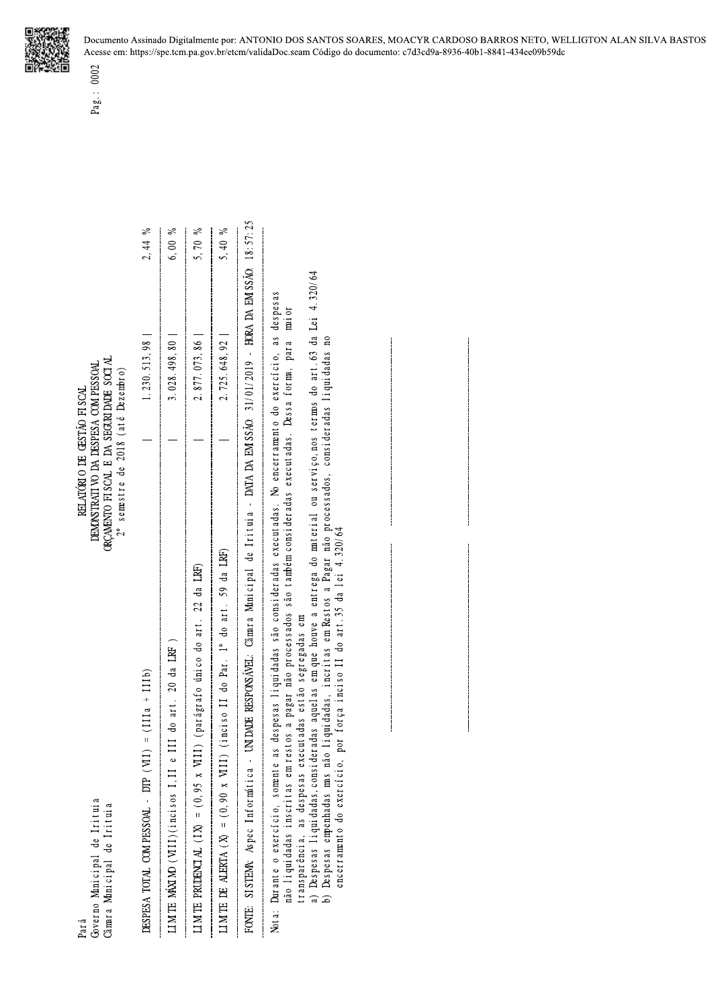| 18:57:25<br>$\gtrsim$<br>$\%$<br>$\,\mathrm{M}_\odot$<br>$\gtrsim$<br>5,70<br>5,40<br>6,00<br>2,44<br>31/01/2019 - HORA DA EM SSÃO:<br>a) Despesas liquidadas, consideradas aquelas em que houve a entrega do material ou serviço, nos termos do art. 63 da Lei 4.320/64<br>b) Despesas empenhadas mas não liquidadas inoritas em Pentrega do material ou serviço, nos t<br>despesas<br>mi or<br>2.877.073,86<br>No encerramento do exercício, as<br>Despesas empenhadas mas não liquidadas, incritas em Restos a Pagar não processados, consideradas liquidadas no<br>2.725.648,92<br>Dessa forma, para<br>1.230.513,98<br>3.028.498,80<br>DATA DA EM SSÃO:<br>eradas executadas.<br>$\overline{\phantom{a}}$<br>das.<br>$\frac{a}{1}$<br>SISTEMA: Aspec Informática - UNIDADE RESPONSÁVEL: Câmara Municipal de Iritu<br>Nota: Durante o exercício, somente as despesas liquidadas são consideradas executa<br>não liquidadas inscritas em restos a pagar não processados são também consid<br>encerramento do exercício, por força inciso II do art. 35 da lei 4.320/64<br>LIMTE DE ALERTA ( $X$ ) = (0,90 x VIII) (inciso II do Par. 1° do art. 59 da LRF)<br>LIMTE PRUDENCIAL (IX) = (0,95 x VIII) (parágrafo único do art. 22 da LRF)<br>transparência, as despesas executadas estão segregadas em<br>LIMTE MÁXIMO (VIII)(incisos I,II e III do art. 20 da LRF)<br>DESPESA TOTAL COMPESSOAL - DTP $(W1) = (111a + 111b)$<br>FONTE: |  |  |
|-----------------------------------------------------------------------------------------------------------------------------------------------------------------------------------------------------------------------------------------------------------------------------------------------------------------------------------------------------------------------------------------------------------------------------------------------------------------------------------------------------------------------------------------------------------------------------------------------------------------------------------------------------------------------------------------------------------------------------------------------------------------------------------------------------------------------------------------------------------------------------------------------------------------------------------------------------------------------------------------------------------------------------------------------------------------------------------------------------------------------------------------------------------------------------------------------------------------------------------------------------------------------------------------------------------------------------------------------------------------------------------------------------------------------------------------|--|--|
|                                                                                                                                                                                                                                                                                                                                                                                                                                                                                                                                                                                                                                                                                                                                                                                                                                                                                                                                                                                                                                                                                                                                                                                                                                                                                                                                                                                                                                         |  |  |
|                                                                                                                                                                                                                                                                                                                                                                                                                                                                                                                                                                                                                                                                                                                                                                                                                                                                                                                                                                                                                                                                                                                                                                                                                                                                                                                                                                                                                                         |  |  |
|                                                                                                                                                                                                                                                                                                                                                                                                                                                                                                                                                                                                                                                                                                                                                                                                                                                                                                                                                                                                                                                                                                                                                                                                                                                                                                                                                                                                                                         |  |  |
|                                                                                                                                                                                                                                                                                                                                                                                                                                                                                                                                                                                                                                                                                                                                                                                                                                                                                                                                                                                                                                                                                                                                                                                                                                                                                                                                                                                                                                         |  |  |
|                                                                                                                                                                                                                                                                                                                                                                                                                                                                                                                                                                                                                                                                                                                                                                                                                                                                                                                                                                                                                                                                                                                                                                                                                                                                                                                                                                                                                                         |  |  |
|                                                                                                                                                                                                                                                                                                                                                                                                                                                                                                                                                                                                                                                                                                                                                                                                                                                                                                                                                                                                                                                                                                                                                                                                                                                                                                                                                                                                                                         |  |  |
|                                                                                                                                                                                                                                                                                                                                                                                                                                                                                                                                                                                                                                                                                                                                                                                                                                                                                                                                                                                                                                                                                                                                                                                                                                                                                                                                                                                                                                         |  |  |
|                                                                                                                                                                                                                                                                                                                                                                                                                                                                                                                                                                                                                                                                                                                                                                                                                                                                                                                                                                                                                                                                                                                                                                                                                                                                                                                                                                                                                                         |  |  |
|                                                                                                                                                                                                                                                                                                                                                                                                                                                                                                                                                                                                                                                                                                                                                                                                                                                                                                                                                                                                                                                                                                                                                                                                                                                                                                                                                                                                                                         |  |  |

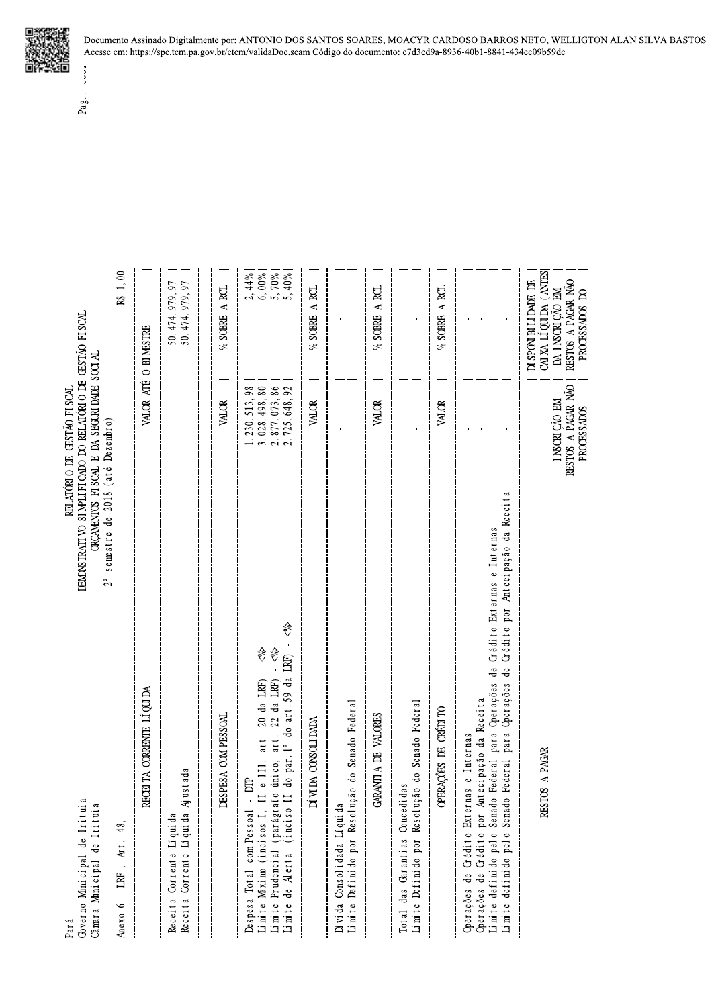| rituia<br>l<br>de<br>Anicipal<br>Amra | Pará |
|---------------------------------------|------|
|                                       |      |

| Governo Minicipal de Irituia<br>Câmara Municipal de Irituia<br>Anexo 6 - LRF, Art. 48,                                                                                                                                                                                       | SIMPLIFICADO DO RELATÓRIO DE GESTÃO FISCAL<br>INTOS FISCAL E DA SEGURIDADE SOCIAL<br>RELATÓRIO DE GESTÃO FISCAL<br>e 2018 (até Dezembro)<br>ORÇAME<br>semestre d<br>DEMONSTRATI VO<br>$2^{\circ}$ | 1,00<br>$\mathbf{\hat{z}}$                                                                 |
|------------------------------------------------------------------------------------------------------------------------------------------------------------------------------------------------------------------------------------------------------------------------------|---------------------------------------------------------------------------------------------------------------------------------------------------------------------------------------------------|--------------------------------------------------------------------------------------------|
| RECEITA CORRENTE LIQUIDA                                                                                                                                                                                                                                                     | $\hspace{0.1mm}-\hspace{0.1mm}$                                                                                                                                                                   | VALOR ATÉ O BI MESTRE                                                                      |
| Receita Corrente Líquida Ajustada<br>Receita Corrente Líquida                                                                                                                                                                                                                |                                                                                                                                                                                                   | 50.474.979,97<br>50.474.979,97                                                             |
| DESPESA COMPESSOAL                                                                                                                                                                                                                                                           | VALOR                                                                                                                                                                                             | A RCL<br>$\%$ SOBRE                                                                        |
| √१<br>Despesa Total com Pessoal - DTP<br>Limite Maximo (incisos I, II e III, art. 20 da LRF) - <%<br>Limite Prudencial (parágrafo único, art. 22 da LRF) - <%<br>Limite de Alerta (inciso II do par.l° do art.59 da LRF) -                                                   | $\begin{array}{c} 1.230.513, 98 \\ 3.028.498, 80 \\ 2.877.073, 86 \\ 2.725.648, 92 \end{array}$                                                                                                   | $\begin{array}{l} 2,44\% \\ 6,00\% \\ 5,70\% \\ 5,40\% \end{array}$                        |
| DÍVIDA CONSOLIDADA                                                                                                                                                                                                                                                           | VALOR                                                                                                                                                                                             | % SOBRE A RCL<br>$\overline{\phantom{0}}$                                                  |
| Definido por Resolução do Senado Federal<br>Dívida Consolidada Líquida<br>Limite                                                                                                                                                                                             | $\blacksquare$                                                                                                                                                                                    | $\blacksquare$                                                                             |
| GARANTI A DE VALORES                                                                                                                                                                                                                                                         | VALOR                                                                                                                                                                                             | % SOBRE A RCL                                                                              |
| Resolução do Senado Federal<br>Total das Garantias Concedidas<br>Limite Definido por                                                                                                                                                                                         | $1 - 1$                                                                                                                                                                                           | $\mathbf{r}$                                                                               |
| OPERAÇÕES DE CRÉDITO                                                                                                                                                                                                                                                         | VALOR                                                                                                                                                                                             | % SOBRE A RCL                                                                              |
| Óperações de Crédito por Antecipação da Receita<br>Limite definido pelo Senado Federal para Óperações de Crédito Externas e Internas<br>Limite definido pelo Senado Federal para Óperações de Crédito por Antecipação da Receita<br>Operações de Crédito Externas e Internas | $\blacksquare$<br>$\mathbf{r}$<br>$\overline{\phantom{a}}$                                                                                                                                        |                                                                                            |
| RESTOS A PAGAR                                                                                                                                                                                                                                                               | RESTOS A PAGAR NÃO<br>PROCESSADOS<br>I NSCRIÇÃO EM                                                                                                                                                | CAIXA LÍQUIDA (ANTESIDA 1<br>DI SPONI BILI DADE DE<br>RESTOS A PÁGAR NÃO<br>PROCESSADOS DO |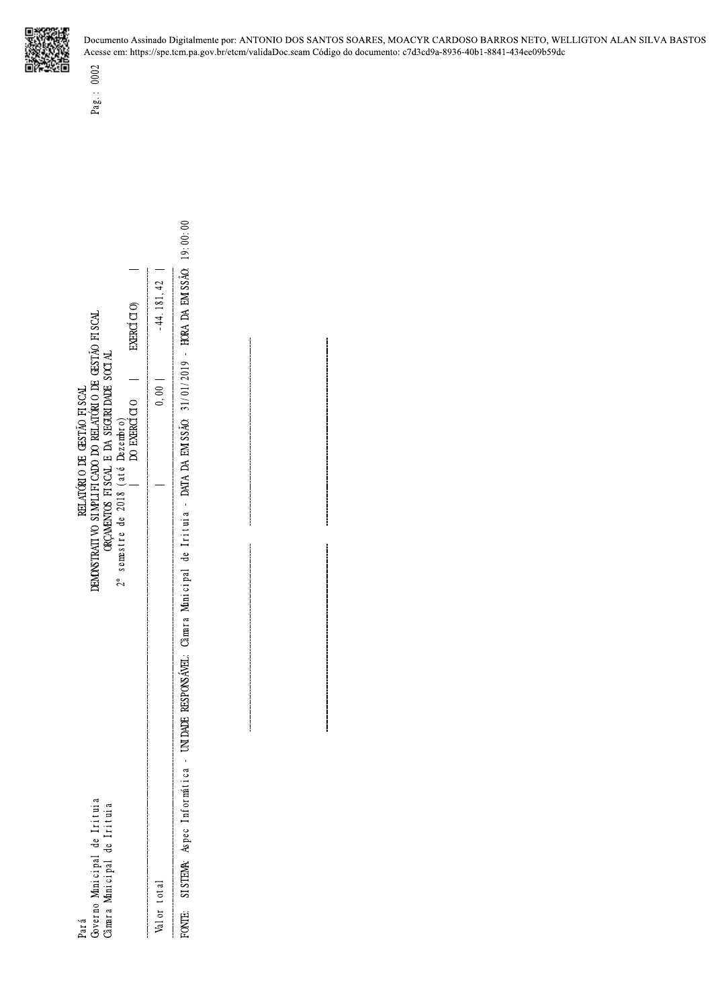

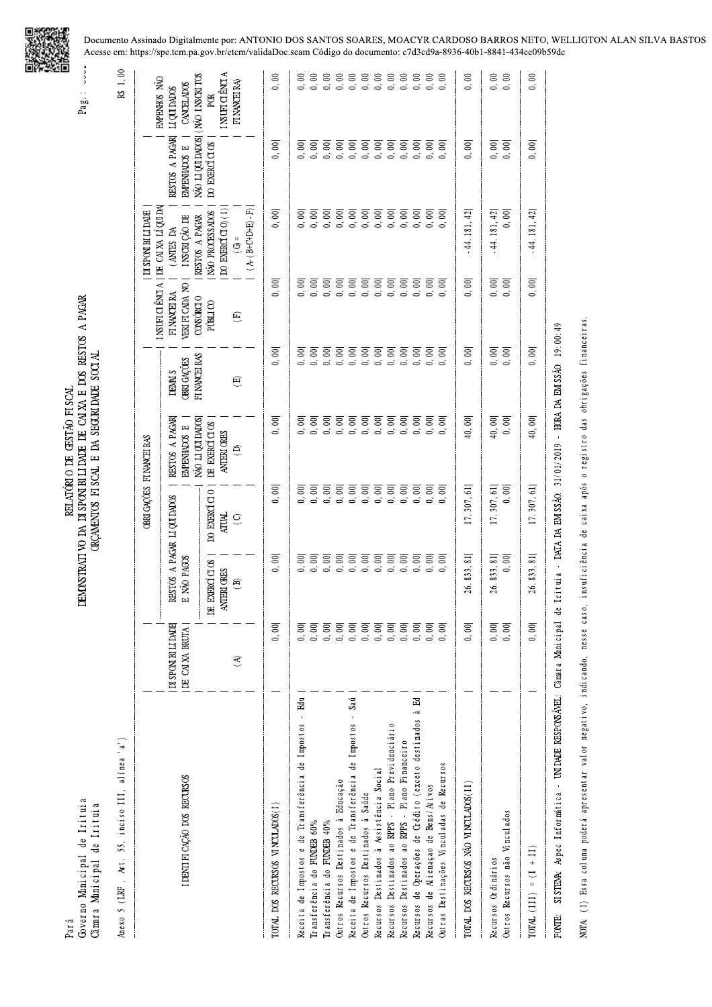

| Governo Minicipal de Irituia<br>Câmara Municipal de Irituia<br>Pará               |                                                                                                                                                                                                                                                                                                                                                                                                                                                                                                                                                                                                                         |                                            |                                                                                                                                                                                                                                                                                                                                                                                                                                                                                                    | DEMONSTRATIVO DA DI SPONI BILI DADE DE CAI XA E DOS RESTOS A PAGAR<br>ORÇAMENTOS FISCAL E DA SEGURI DADE SOCIAL<br>RELATÓRIO DE GESTÃO FISCAL |                                                           |                                              |                                             |                                                    | ▣<br><b>AAAA</b><br>$Pag$ :                        |
|-----------------------------------------------------------------------------------|-------------------------------------------------------------------------------------------------------------------------------------------------------------------------------------------------------------------------------------------------------------------------------------------------------------------------------------------------------------------------------------------------------------------------------------------------------------------------------------------------------------------------------------------------------------------------------------------------------------------------|--------------------------------------------|----------------------------------------------------------------------------------------------------------------------------------------------------------------------------------------------------------------------------------------------------------------------------------------------------------------------------------------------------------------------------------------------------------------------------------------------------------------------------------------------------|-----------------------------------------------------------------------------------------------------------------------------------------------|-----------------------------------------------------------|----------------------------------------------|---------------------------------------------|----------------------------------------------------|----------------------------------------------------|
| 55, inciso III, alínea 'a')<br>Anexo 5 (LRF, Art.                                 |                                                                                                                                                                                                                                                                                                                                                                                                                                                                                                                                                                                                                         |                                            |                                                                                                                                                                                                                                                                                                                                                                                                                                                                                                    |                                                                                                                                               |                                                           |                                              |                                             |                                                    | $R\!$ $1,00$                                       |
|                                                                                   |                                                                                                                                                                                                                                                                                                                                                                                                                                                                                                                                                                                                                         |                                            |                                                                                                                                                                                                                                                                                                                                                                                                                                                                                                    | OBRI GAÇÕES FI NANCEI RAS                                                                                                                     |                                                           | I NSUFI CI ÊNCI A                            | DE CAIXA LÍQUIDA<br>DI SPONI BILI DADE      |                                                    | EMPENHOS NÃO                                       |
| I DENTI FI CAÇÃO DOS RECURSOS                                                     | DI SPONI BI LI DADE<br>DE CAIXA BRUTA                                                                                                                                                                                                                                                                                                                                                                                                                                                                                                                                                                                   | RESTOS A PAGAR LI QUI DADOS<br>E NÃO PAGOS |                                                                                                                                                                                                                                                                                                                                                                                                                                                                                                    | RESTOS A PAGAR<br>NÃO LI QUI DADOS<br>EMPENHADOS E                                                                                            | FI NANCEI RAS<br><b>OBRI GACÓES</b><br>DEMAI <sub>S</sub> | VERI FI CADA NO<br>FI NANCEI RA<br>CONSÓRCIO | RESTOS A PAGAR<br>INSCRIÇÃO DE<br>(ANTES DA | NÃO LI QUI DADOS<br>RESTOS A PAGAR<br>EMPENHADOS E | NÃO INSCRITOS<br><b>CANCELADOS</b><br>LI QUI DADOS |
|                                                                                   |                                                                                                                                                                                                                                                                                                                                                                                                                                                                                                                                                                                                                         | EXERCÍCIOS<br>ANTERI ORES<br>$\mathbb{E}$  | DO EXERCÍCIO<br><b>ATUAL</b>                                                                                                                                                                                                                                                                                                                                                                                                                                                                       | DE EXERCÍCIOS<br>ANTERI ORES                                                                                                                  |                                                           | PÚBLICO                                      | $D$ EXERCÍ $(D(1))$<br>NÃO PROCESSADOS      | DO EXERCÍCIOS                                      | I NSUFI CI ÈNCI A<br>por                           |
|                                                                                   | $\mathfrak{D}$                                                                                                                                                                                                                                                                                                                                                                                                                                                                                                                                                                                                          | $\circled{B}$                              | $\bigcirc$                                                                                                                                                                                                                                                                                                                                                                                                                                                                                         | $\odot$                                                                                                                                       | $\overline{E}$                                            | (E)                                          | $(A(B+CH) - F)$<br>$\overline{\mathbb{G}}$  |                                                    | FI NANCEI RA)                                      |
| TOTAL DOS RECURSOS VINCULADOS(I)                                                  | $0,00\vert$                                                                                                                                                                                                                                                                                                                                                                                                                                                                                                                                                                                                             | 0,00                                       | 0,00                                                                                                                                                                                                                                                                                                                                                                                                                                                                                               | $0,00\vert$                                                                                                                                   | 0,00                                                      | 0,00                                         | 0,00                                        | 0,00                                               | $0, 00$                                            |
| $\overline{5}$<br>Receita de Impostos e de Transferência de Impostos              | 0,00                                                                                                                                                                                                                                                                                                                                                                                                                                                                                                                                                                                                                    | $0,00 $                                    | 0,00                                                                                                                                                                                                                                                                                                                                                                                                                                                                                               | $0,\,00 $                                                                                                                                     |                                                           | 0,00                                         | $0,\,00 $                                   | 0,00                                               | $\infty$<br>d.                                     |
| Transferência do FUNDEB 60%                                                       | 0,00                                                                                                                                                                                                                                                                                                                                                                                                                                                                                                                                                                                                                    |                                            | $\begin{array}{cccccccccc} \overline{0} & \overline{0} & \overline{0} & \overline{0} & \overline{0} & \overline{0} & \overline{0} & \overline{0} & \overline{0} & \overline{0} \\ \overline{0} & \overline{0} & \overline{0} & \overline{0} & \overline{0} & \overline{0} & \overline{0} & \overline{0} & \overline{0} & \overline{0} \\ \overline{0} & \overline{0} & \overline{0} & \overline{0} & \overline{0} & \overline{0} & \overline{0} & \overline{0} & \overline{0} & \overline{0} \\ \$ |                                                                                                                                               |                                                           | 0,00                                         | $0,00\vert$                                 | $0,\,00 $                                          |                                                    |
| Transferência do FUNDEB 40%                                                       |                                                                                                                                                                                                                                                                                                                                                                                                                                                                                                                                                                                                                         |                                            |                                                                                                                                                                                                                                                                                                                                                                                                                                                                                                    |                                                                                                                                               |                                                           |                                              | $0,00\vert$                                 |                                                    |                                                    |
| Outros Recursos Destinados à Educação                                             |                                                                                                                                                                                                                                                                                                                                                                                                                                                                                                                                                                                                                         |                                            |                                                                                                                                                                                                                                                                                                                                                                                                                                                                                                    |                                                                                                                                               |                                                           |                                              | 0,000                                       |                                                    |                                                    |
| Receita de Impostos e de Transferência de Impostos - Saú                          |                                                                                                                                                                                                                                                                                                                                                                                                                                                                                                                                                                                                                         |                                            |                                                                                                                                                                                                                                                                                                                                                                                                                                                                                                    |                                                                                                                                               |                                                           |                                              |                                             |                                                    |                                                    |
| Outros Recursos Destinados à Saúde                                                |                                                                                                                                                                                                                                                                                                                                                                                                                                                                                                                                                                                                                         | $0,\,00 $                                  |                                                                                                                                                                                                                                                                                                                                                                                                                                                                                                    |                                                                                                                                               |                                                           |                                              | $0,00\vert$                                 |                                                    |                                                    |
| Recursos Destinados à Assistência Social                                          |                                                                                                                                                                                                                                                                                                                                                                                                                                                                                                                                                                                                                         | $0,\,00 $                                  |                                                                                                                                                                                                                                                                                                                                                                                                                                                                                                    |                                                                                                                                               |                                                           |                                              | $0, \, 00 $                                 |                                                    |                                                    |
| Recursos Destinados ao RPPS - Plano Previdenciário                                |                                                                                                                                                                                                                                                                                                                                                                                                                                                                                                                                                                                                                         | $0,\,00 $                                  |                                                                                                                                                                                                                                                                                                                                                                                                                                                                                                    |                                                                                                                                               |                                                           | $0, 00\vert$                                 | $0,00\vert$                                 | $0,\,00 $                                          |                                                    |
| Recursos Destinados ao RPPS - Plano Financeiro                                    |                                                                                                                                                                                                                                                                                                                                                                                                                                                                                                                                                                                                                         | $0,\,00 $                                  | 0,00                                                                                                                                                                                                                                                                                                                                                                                                                                                                                               | $0,\,00 $                                                                                                                                     |                                                           | $0,00\vert$                                  | 0,00                                        | $0,\,00 $                                          |                                                    |
| Recursos de Operações de Crédito (exceto destinados à Ed                          | $\begin{array}{cccccccccc} \overline{\circ} & \overline{\circ} & \overline{\circ} & \overline{\circ} & \overline{\circ} & \overline{\circ} & \overline{\circ} & \overline{\circ} & \overline{\circ} & \overline{\circ} & \overline{\circ} & \overline{\circ} & \overline{\circ} & \overline{\circ} & \overline{\circ} & \overline{\circ} & \overline{\circ} & \overline{\circ} & \overline{\circ} & \overline{\circ} & \overline{\circ} & \overline{\circ} & \overline{\circ} & \overline{\circ} & \overline{\circ} & \overline{\circ} & \overline{\circ} & \overline{\circ} & \overline{\circ} & \overline{\circ} & \$ | $0,\,00 $                                  | $0,\,00 $                                                                                                                                                                                                                                                                                                                                                                                                                                                                                          | $0,\,00 $                                                                                                                                     |                                                           | $0,00\vert$                                  | 0,00                                        | $0,\,00 $                                          |                                                    |
| Outras Destinações Vinculadas de Recursos<br>Recursos de Alienaçao de Bens/Ativos | 0,00                                                                                                                                                                                                                                                                                                                                                                                                                                                                                                                                                                                                                    | $0,00\vert$<br>$0,00\vert$                 | $0,\,00 $<br>$0,\,00 $                                                                                                                                                                                                                                                                                                                                                                                                                                                                             | $0,00\vert$<br>0,00                                                                                                                           |                                                           | 0,000                                        | 0,00<br>0,00                                | $0,\,00 $<br>$0,\,00 $                             | $\begin{array}{c} 0,00 \\ 0,00 \end{array}$        |
|                                                                                   |                                                                                                                                                                                                                                                                                                                                                                                                                                                                                                                                                                                                                         |                                            |                                                                                                                                                                                                                                                                                                                                                                                                                                                                                                    |                                                                                                                                               |                                                           |                                              |                                             |                                                    |                                                    |
| TOTAL DOS RECURSOS NÃO VINCULADOS(II)                                             | 0,00                                                                                                                                                                                                                                                                                                                                                                                                                                                                                                                                                                                                                    | 26, 833, 81]                               | 17.307,61                                                                                                                                                                                                                                                                                                                                                                                                                                                                                          | 40,00                                                                                                                                         | $0,00\vert$                                               | $0,00\vert$                                  | $-44.181,42$                                | 0,00                                               | 0,00                                               |
| Recursos Ordinários                                                               | 0,00                                                                                                                                                                                                                                                                                                                                                                                                                                                                                                                                                                                                                    | 26.833,81                                  | 17.307,61                                                                                                                                                                                                                                                                                                                                                                                                                                                                                          | 40,00                                                                                                                                         | 0,00                                                      | 0.001                                        | $-44.181,42$                                | 0,00                                               | 0.00000                                            |
| Outros Recursos não Vinculados                                                    |                                                                                                                                                                                                                                                                                                                                                                                                                                                                                                                                                                                                                         | $0,00\vert$                                | $0,00\vert$                                                                                                                                                                                                                                                                                                                                                                                                                                                                                        | $0,00$                                                                                                                                        |                                                           |                                              | 0,00                                        |                                                    |                                                    |
| $TOTAL$ (111) = (1 + 11)                                                          | 0,00                                                                                                                                                                                                                                                                                                                                                                                                                                                                                                                                                                                                                    | 26, 833, 81]                               | 17.307,61                                                                                                                                                                                                                                                                                                                                                                                                                                                                                          | 40,00                                                                                                                                         | 0,00                                                      | 0,00                                         | $-44.181, 42$                               | 0,00                                               | 0,00                                               |
| SISTEMA: Aspec Informatica - UNIDADE RESPONSÁVEL: Câmara Municipal de<br>FONTE:   |                                                                                                                                                                                                                                                                                                                                                                                                                                                                                                                                                                                                                         |                                            |                                                                                                                                                                                                                                                                                                                                                                                                                                                                                                    | Irituia - DATA DA EM SSÃO: 31/01/2019 - HORA DA EM SSÃO: 19:00:49                                                                             |                                                           |                                              |                                             |                                                    |                                                    |

NOTA: (1) Essa coluna poderá apresentar valor negativo, indicando, nesse caso, insuficiência de caixa após o registro das obrigações financeiras.